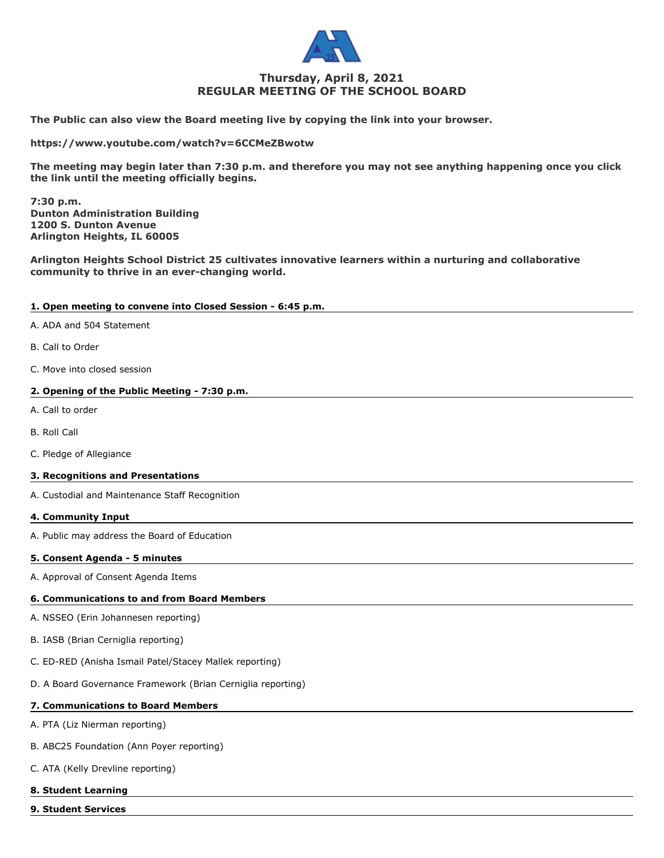

# **Thursday, April 8, 2021 REGULAR MEETING OF THE SCHOOL BOARD**

**The Public can also view the Board meeting live by copying the link into your browser.**

**https://www.youtube.com/watch?v=6CCMeZBwotw**

**The meeting may begin later than 7:30 p.m. and therefore you may not see anything happening once you click the link until the meeting officially begins.**

**7:30 p.m. Dunton Administration Building 1200 S. Dunton Avenue Arlington Heights, IL 60005**

**Arlington Heights School District 25 cultivates innovative learners within a nurturing and collaborative community to thrive in an ever-changing world.**

## **1. Open meeting to convene into Closed Session - 6:45 p.m.**

- A. ADA and 504 Statement
- B. Call to Order
- C. Move into closed session

## **2. Opening of the Public Meeting - 7:30 p.m.**

- A. Call to order
- B. Roll Call
- C. Pledge of Allegiance

## **3. Recognitions and Presentations**

A. Custodial and Maintenance Staff Recognition

#### **4. Community Input**

A. Public may address the Board of Education

## **5. Consent Agenda - 5 minutes**

A. Approval of Consent Agenda Items

## **6. Communications to and from Board Members**

- A. NSSEO (Erin Johannesen reporting)
- B. IASB (Brian Cerniglia reporting)
- C. ED-RED (Anisha Ismail Patel/Stacey Mallek reporting)
- D. A Board Governance Framework (Brian Cerniglia reporting)

## **7. Communications to Board Members**

- A. PTA (Liz Nierman reporting)
- B. ABC25 Foundation (Ann Poyer reporting)
- C. ATA (Kelly Drevline reporting)

## **8. Student Learning**

**9. Student Services**